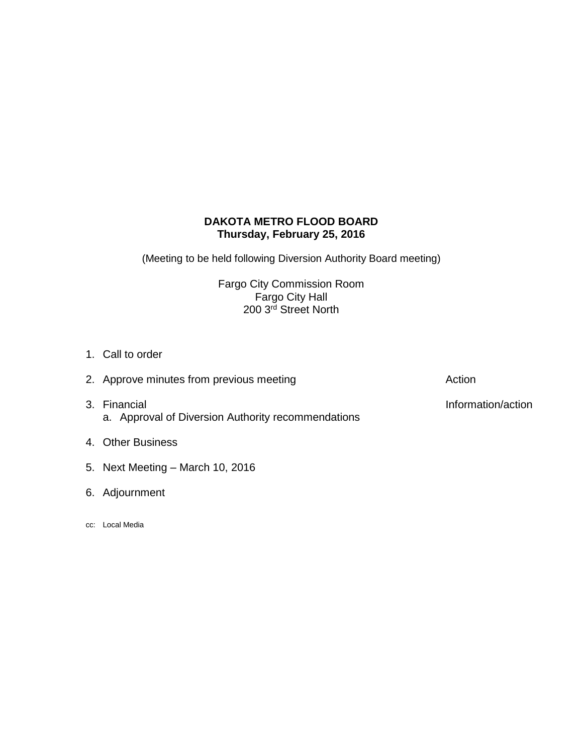# **DAKOTA METRO FLOOD BOARD Thursday, February 25, 2016**

(Meeting to be held following Diversion Authority Board meeting)

Fargo City Commission Room Fargo City Hall 200 3<sup>rd</sup> Street North

- 1. Call to order
- 3. Financial **Information/action** a. Approval of Diversion Authority recommendations
- 4. Other Business
- 5. Next Meeting March 10, 2016
- 6. Adjournment
- cc: Local Media

2. Approve minutes from previous meeting and action action Action